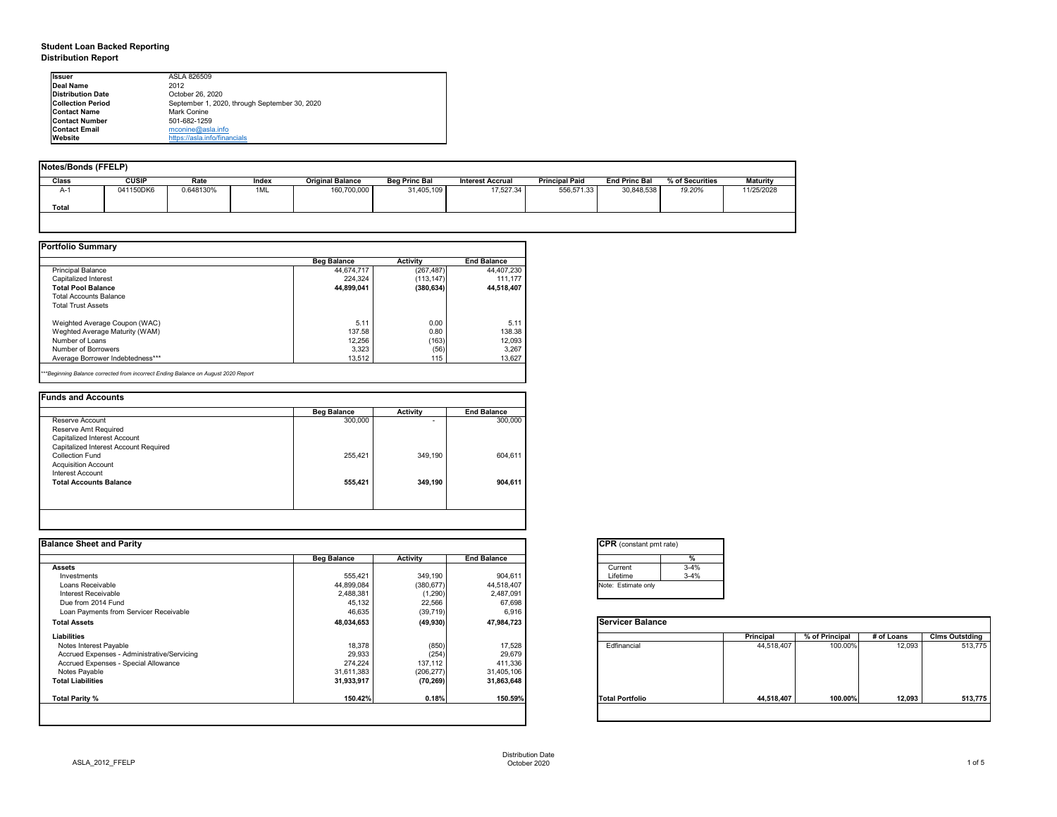# **Student Loan Backed Reporting Distribution Report**

| Notes/Bonds (FFELP) |              |           |       |                         |                      |                         |                       |                      |                 |                 |  |
|---------------------|--------------|-----------|-------|-------------------------|----------------------|-------------------------|-----------------------|----------------------|-----------------|-----------------|--|
| <b>Class</b>        | <b>CUSIP</b> | Rate      | Index | <b>Original Balance</b> | <b>Beg Princ Bal</b> | <b>Interest Accrual</b> | <b>Principal Paid</b> | <b>End Princ Bal</b> | % of Securities | <b>Maturity</b> |  |
| A-1                 | 041150DK6    | 0.648130% | 1ML   | 160,700,000             | 31,405,109           | 17,527.34               | 556,571.33            | 30,848,538           | 19.20%          | 11/25/2028      |  |
| Total               |              |           |       |                         |                      |                         |                       |                      |                 |                 |  |
|                     |              |           |       |                         |                      |                         |                       |                      |                 |                 |  |

|                                  | <b>Beg Balance</b> | <b>Activity</b> | <b>End Balance</b> |
|----------------------------------|--------------------|-----------------|--------------------|
| <b>Principal Balance</b>         | 44,674,717         | (267, 487)      | 44,407,230         |
| Capitalized Interest             | 224,324            | (113, 147)      | 111,177            |
| <b>Total Pool Balance</b>        | 44,899,041         | (380, 634)      | 44,518,407         |
| <b>Total Accounts Balance</b>    |                    |                 |                    |
| <b>Total Trust Assets</b>        |                    |                 |                    |
| Weighted Average Coupon (WAC)    | 5.11               | 0.00            | 5.11               |
| Weghted Average Maturity (WAM)   | 137.58             | 0.80            | 138.38             |
| Number of Loans                  | 12,256             | (163)           | 12,093             |
| Number of Borrowers              | 3,323              | (56)            | 3,267              |
| Average Borrower Indebtedness*** | 13,512             | 115             | 13,627             |

|  |  |  | . |  |
|--|--|--|---|--|
|  |  |  |   |  |
|  |  |  |   |  |
|  |  |  |   |  |

|                                       | <b>Beg Balance</b> | <b>Activity</b> | <b>End Balance</b> |
|---------------------------------------|--------------------|-----------------|--------------------|
| Reserve Account                       | 300,000            | $\blacksquare$  | 300,000            |
| Reserve Amt Required                  |                    |                 |                    |
| Capitalized Interest Account          |                    |                 |                    |
| Capitalized Interest Account Required |                    |                 |                    |
| <b>Collection Fund</b>                | 255,421            | 349,190         | 604,611            |
| <b>Acquisition Account</b>            |                    |                 |                    |
| Interest Account                      |                    |                 |                    |
| <b>Total Accounts Balance</b>         | 555,421            | 349,190         | 904,611            |
|                                       |                    |                 |                    |
|                                       |                    |                 |                    |

| tant pmt rate) |          |  |  |  |  |  |  |  |
|----------------|----------|--|--|--|--|--|--|--|
|                | $\%$     |  |  |  |  |  |  |  |
|                | $3 - 4%$ |  |  |  |  |  |  |  |
|                | $3-4%$   |  |  |  |  |  |  |  |
| te only        |          |  |  |  |  |  |  |  |
|                |          |  |  |  |  |  |  |  |

| Balance |            |                |            |                       |
|---------|------------|----------------|------------|-----------------------|
|         | Principal  | % of Principal | # of Loans | <b>Clms Outstding</b> |
| al      | 44,518,407 | 100.00%        | 12,093     | 513,775               |
| olio    | 44,518,407 | 100.00%        | 12,093     | 513,775               |
|         |            |                |            |                       |

| <b>Ilssuer</b>           | ASLA 826509                                   |
|--------------------------|-----------------------------------------------|
| Deal Name                | 2012                                          |
| <b>Distribution Date</b> | October 26, 2020                              |
| <b>Collection Period</b> | September 1, 2020, through September 30, 2020 |
| <b>Contact Name</b>      | <b>Mark Conine</b>                            |
| <b>IContact Number</b>   | 501-682-1259                                  |
| <b>Contact Email</b>     | $m$ conine@asla.info                          |
| <b>IWebsite</b>          | https://asla.info/financials                  |

|                    |                 |                    | <b>CPR</b> (constant pmt rate) |                  |                |            |                       |
|--------------------|-----------------|--------------------|--------------------------------|------------------|----------------|------------|-----------------------|
| <b>Beg Balance</b> | <b>Activity</b> | <b>End Balance</b> | %                              |                  |                |            |                       |
|                    |                 |                    | $3 - 4%$<br>Current            |                  |                |            |                       |
| 555,421            | 349,190         | 904,611            | Lifetime<br>$3 - 4%$           |                  |                |            |                       |
| 44,899,084         | (380, 677)      | 44,518,407         | Note: Estimate only            |                  |                |            |                       |
| 2,488,381          | (1,290)         | 2,487,091          |                                |                  |                |            |                       |
|                    |                 |                    |                                |                  |                |            |                       |
| 46,635             | (39, 719)       | 6,916              |                                |                  |                |            |                       |
| 48,034,653         | (49, 930)       | 47,984,723         | <b>Servicer Balance</b>        |                  |                |            |                       |
|                    |                 |                    |                                | <b>Principal</b> | % of Principal | # of Loans | <b>Clms Outstding</b> |
| 18,378             | (850)           | 17,528             | Edfinancial                    | 44,518,407       | 100.00%        | 12,093     | 513,775               |
| 29,933             | (254)           | 29,679             |                                |                  |                |            |                       |
| 274,224            | 137,112         | 411,336            |                                |                  |                |            |                       |
| 31,611,383         | (206, 277)      | 31,405,106         |                                |                  |                |            |                       |
| 31,933,917         | (70, 269)       | 31,863,648         |                                |                  |                |            |                       |
| 150.42%            | 0.18%           | 150.59%            | <b>Total Portfolio</b>         | 44,518,407       | 100.00%        | 12,093     | 513,775               |
|                    | 45,132          | 22,566             | 67,698                         |                  |                |            |                       |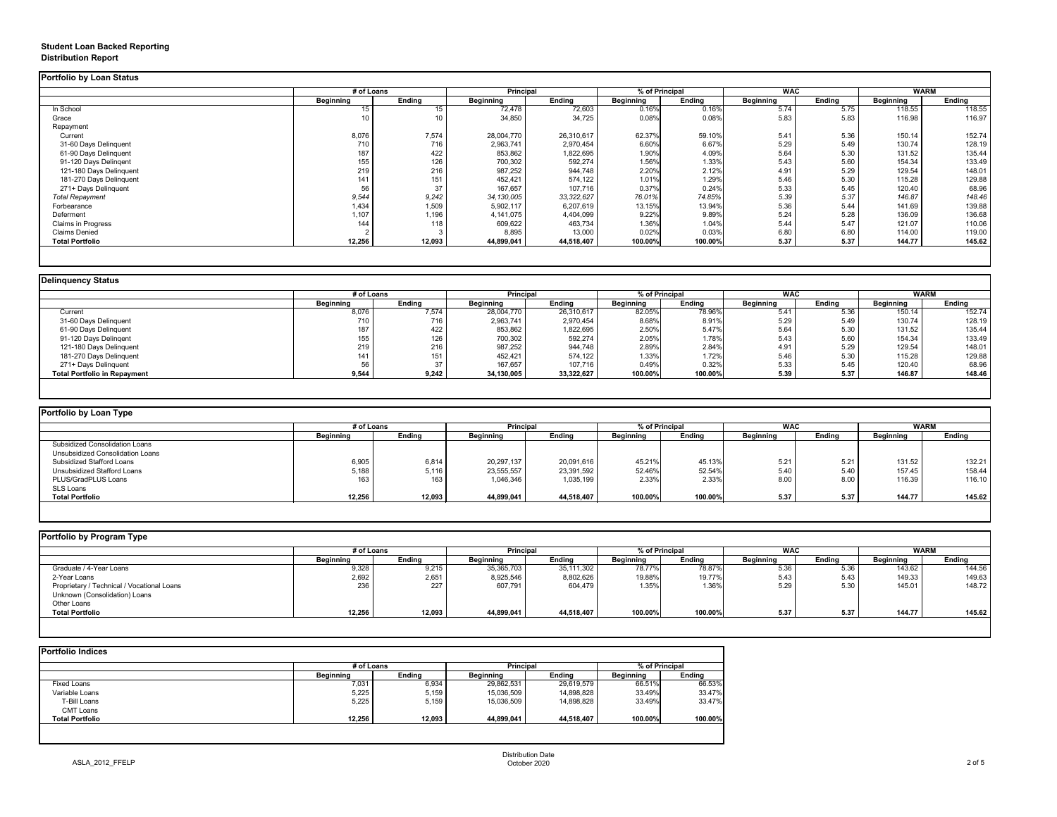## **Student Loan Backed Reporting Distribution Report**

|                           | # of Loans       |                  |                  | % of Principal<br><b>Principal</b> |                  |               | <b>WAC</b>       |               | <b>WARM</b>      |               |
|---------------------------|------------------|------------------|------------------|------------------------------------|------------------|---------------|------------------|---------------|------------------|---------------|
|                           | <b>Beginning</b> | <b>Ending</b>    | <b>Beginning</b> | <b>Ending</b>                      | <b>Beginning</b> | <b>Ending</b> | <b>Beginning</b> | <b>Ending</b> | <b>Beginning</b> | <b>Ending</b> |
| In School                 | 15               |                  | 72,478           | 72,603                             | 0.16%            | 0.16%         | 5.74             | 5.75          | 118.55           | 118.55        |
| Grace                     | 10               |                  | 34,850           | 34,725                             | 0.08%            | 0.08%         | 5.83             | 5.83          | 116.98           | 116.97        |
| Repayment                 |                  |                  |                  |                                    |                  |               |                  |               |                  |               |
| Current                   | 8,076            | 7,574            | 28,004,770       | 26,310,617                         | 62.37%           | 59.10%        | 5.41             | 5.36          | 150.14           | 152.74        |
| 31-60 Days Delinquent     | 710              | 716              | 2,963,741        | 2,970,454                          | 6.60%            | 6.67%         | 5.29             | 5.49          | 130.74           | 128.19        |
| 61-90 Days Delinquent     | 187              | 422              | 853,862          | 1,822,695                          | 1.90%            | 4.09%         | 5.64             | 5.30          | 131.52           | 135.44        |
| 91-120 Days Delingent     | 155              | 126              | 700,302          | 592,274                            | 1.56%            | 1.33%         | 5.43             | 5.60          | 154.34           | 133.49        |
| 121-180 Days Delinquent   | 219              | 216              | 987,252          | 944,748                            | 2.20%            | 2.12%         | 4.91             | 5.29          | 129.54           | 148.01        |
| 181-270 Days Delinquent   | 141              | 151              | 452,421          | 574,122                            | 1.01%            | 1.29%         | 5.46             | 5.30          | 115.28           | 129.88        |
| 271+ Days Delinquent      | 56               | 37               | 167,657          | 107,716                            | 0.37%            | 0.24%         | 5.33             | 5.45          | 120.40           | 68.96         |
| <b>Total Repayment</b>    | 9,544            | 9,242            | 34, 130, 005     | 33, 322, 627                       | 76.01%           | 74.85%        | 5.39             | 5.37          | 146.87           | 148.46        |
| Forbearance               | 1,434            | 1,509            | 5,902,117        | 6,207,619                          | 13.15%           | 13.94%        | 5.36             | 5.44          | 141.69           | 139.88        |
| Deferment                 | 1,107            | 1,196            | 4,141,075        | 4,404,099                          | 9.22%            | 9.89%         | 5.24             | 5.28          | 136.09           | 136.68        |
| <b>Claims in Progress</b> | 144              | 118 <sub>1</sub> | 609,622          | 463,734                            | 1.36%            | 1.04%         | 5.44             | 5.47          | 121.07           | 110.06        |
| <b>Claims Denied</b>      |                  |                  | 8,895            | 13,000                             | 0.02%            | 0.03%         | 6.80             | 6.80          | 114.00           | 119.00        |
| <b>Total Portfolio</b>    | 12,256           | 12,093           | 44,899,041       | 44,518,407                         | 100.00%          | 100.00%       | 5.37             | 5.37          | 144.77           | 145.62        |

| <b>Delinquency Status</b>           |                  |               |                  |                  |                  |                |                  |               |                  |               |
|-------------------------------------|------------------|---------------|------------------|------------------|------------------|----------------|------------------|---------------|------------------|---------------|
|                                     |                  | # of Loans    |                  | <b>Principal</b> |                  | % of Principal |                  | <b>WAC</b>    |                  | <b>WARM</b>   |
|                                     | <b>Beginning</b> | <b>Ending</b> | <b>Beginning</b> | <b>Ending</b>    | <b>Beginning</b> | <b>Ending</b>  | <b>Beginning</b> | <b>Ending</b> | <b>Beginning</b> | <b>Ending</b> |
| Current                             | 8,076            | 7,574         | 28,004,770       | 26,310,617       | 82.05%           | 78.96%         | 5.41             | 5.36          | 150.14           | 152.74        |
| 31-60 Days Delinquent               | 710              | 716           | 2,963,741        | 2,970,454        | 8.68%            | 8.91%          | 5.29             | 5.49          | 130.74           | 128.19        |
| 61-90 Days Delinquent               | 187              | 422           | 853,862          | 1,822,695        | 2.50%            | 5.47%          | 5.64             | 5.30          | 131.52           | 135.44        |
| 91-120 Days Delingent               | 155              | 126           | 700,302          | 592,274          | 2.05%            | 1.78%          | 5.43             | 5.60          | 154.34           | 133.49        |
| 121-180 Days Delinquent             | 219              | 216           | 987,252          | 944,748          | 2.89%            | 2.84%          | 4.91             | 5.29          | 129.54           | 148.01        |
| 181-270 Days Delinquent             | 141              | 151           | 452,421          | 574,122          | 1.33%            | 1.72%          | 5.46             | 5.30          | 115.28           | 129.88        |
| 271+ Days Delinquent                | 56               | 37            | 167,657          | 107,716          | 0.49%            | 0.32%          | 5.33             | 5.45          | 120.40           | 68.96         |
| <b>Total Portfolio in Repayment</b> | 9,544            | 9,242         | 34,130,005       | 33,322,627       | 100.00%          | 100.00%        | 5.39             | 5.37          | 146.87           | 148.46        |
|                                     |                  |               |                  |                  |                  |                |                  |               |                  |               |

| <b>Portfolio by Loan Type</b>         |                  |               |                  |                  |                  |                |                  |               |                  |               |  |
|---------------------------------------|------------------|---------------|------------------|------------------|------------------|----------------|------------------|---------------|------------------|---------------|--|
|                                       | # of Loans       |               |                  | <b>Principal</b> |                  | % of Principal |                  | <b>WAC</b>    |                  | <b>WARM</b>   |  |
|                                       | <b>Beginning</b> | <b>Ending</b> | <b>Beginning</b> | <b>Ending</b>    | <b>Beginning</b> | <b>Ending</b>  | <b>Beginning</b> | <b>Ending</b> | <b>Beginning</b> | <b>Ending</b> |  |
| <b>Subsidized Consolidation Loans</b> |                  |               |                  |                  |                  |                |                  |               |                  |               |  |
| Unsubsidized Consolidation Loans      |                  |               |                  |                  |                  |                |                  |               |                  |               |  |
| <b>Subsidized Stafford Loans</b>      | 6,905            | 6,814         | 20,297,137       | 20,091,616       | 45.21%           | 45.13%         | 5.21             | 5.21          | 131.52           | 132.21        |  |
| Unsubsidized Stafford Loans           | 5,188            | 5,116         | 23,555,557       | 23,391,592       | 52.46%           | 52.54%         | 5.40             | 5.4C          | 157.45           | 158.44        |  |
| PLUS/GradPLUS Loans                   | 163              | 163           | 1,046,346        | 1,035,199        | 2.33%            | 2.33%          | 8.00             | 8.00          | 116.39           | 116.10        |  |
| SLS Loans                             |                  |               |                  |                  |                  |                |                  |               |                  |               |  |
| <b>Total Portfolio</b>                | 12,256           | 12,093        | 44,899,041       | 44,518,407       | 100.00%          | 100.00%        | 5.37             | 5.37          | 144.77           | 145.62        |  |
|                                       |                  |               |                  |                  |                  |                |                  |               |                  |               |  |

|  |  | Portfolio by Program Type |  |
|--|--|---------------------------|--|
|--|--|---------------------------|--|

| <b>Portfolio by Program Type</b>           |                  |               |                  |                  |           |                |                  |               |                  |               |  |
|--------------------------------------------|------------------|---------------|------------------|------------------|-----------|----------------|------------------|---------------|------------------|---------------|--|
|                                            |                  | # of Loans    |                  | <b>Principal</b> |           | % of Principal |                  | <b>WAC</b>    |                  | <b>WARM</b>   |  |
|                                            | <b>Beginning</b> | <b>Ending</b> | <b>Beginning</b> | Ending           | Beginning | <b>Ending</b>  | <b>Beginning</b> | <b>Ending</b> | <b>Beginning</b> | <b>Ending</b> |  |
| Graduate / 4-Year Loans                    | 9,328            | 9,215         | 35,365,703       | 35,111,302       | 78.77%    | 78.87%         | 5.36             | 5.36          | 143.62           | 144.56        |  |
| 2-Year Loans                               | 2,692            | 2,651         | 8,925,546        | 8,802,626        | 19.88%    | 19.77%         | 5.43             | 5.43          | 149.33           | 149.63        |  |
| Proprietary / Technical / Vocational Loans | 236              | 227           | 607,791          | 604,479          | 1.35%     | 1.36%          | 5.29             | 5.30          | 145.01           | 148.72        |  |
| Unknown (Consolidation) Loans              |                  |               |                  |                  |           |                |                  |               |                  |               |  |
| Other Loans                                |                  |               |                  |                  |           |                |                  |               |                  |               |  |
| <b>Total Portfolio</b>                     | 12,256           | 12,093        | 44,899,041       | 44,518,407       | 100.00%   | 100.00%        | 5.37             | 5.37          | 144.77           | 145.62        |  |
|                                            |                  |               |                  |                  |           |                |                  |               |                  |               |  |

|                        |                  | # of Loans    |                  | <b>Principal</b> |                  | % of Principal |  |
|------------------------|------------------|---------------|------------------|------------------|------------------|----------------|--|
|                        | <b>Beginning</b> | <b>Ending</b> | <b>Beginning</b> | <b>Ending</b>    | <b>Beginning</b> | <b>Ending</b>  |  |
| <b>Fixed Loans</b>     | 7,031            | 6,934         | 29,862,531       | 29,619,579       | 66.51%           | 66.53%         |  |
| Variable Loans         | 5,225            | 5,159         | 15,036,509       | 14,898,828       | 33.49%           | 33.47%         |  |
| T-Bill Loans           | 5,225            | 5,159         | 15,036,509       | 14,898,828       | 33.49%           | 33.47%         |  |
| <b>CMT Loans</b>       |                  |               |                  |                  |                  |                |  |
| <b>Total Portfolio</b> | 12,256           | 12,093        | 44,899,041       | 44,518,407       | 100.00%          | 100.00%        |  |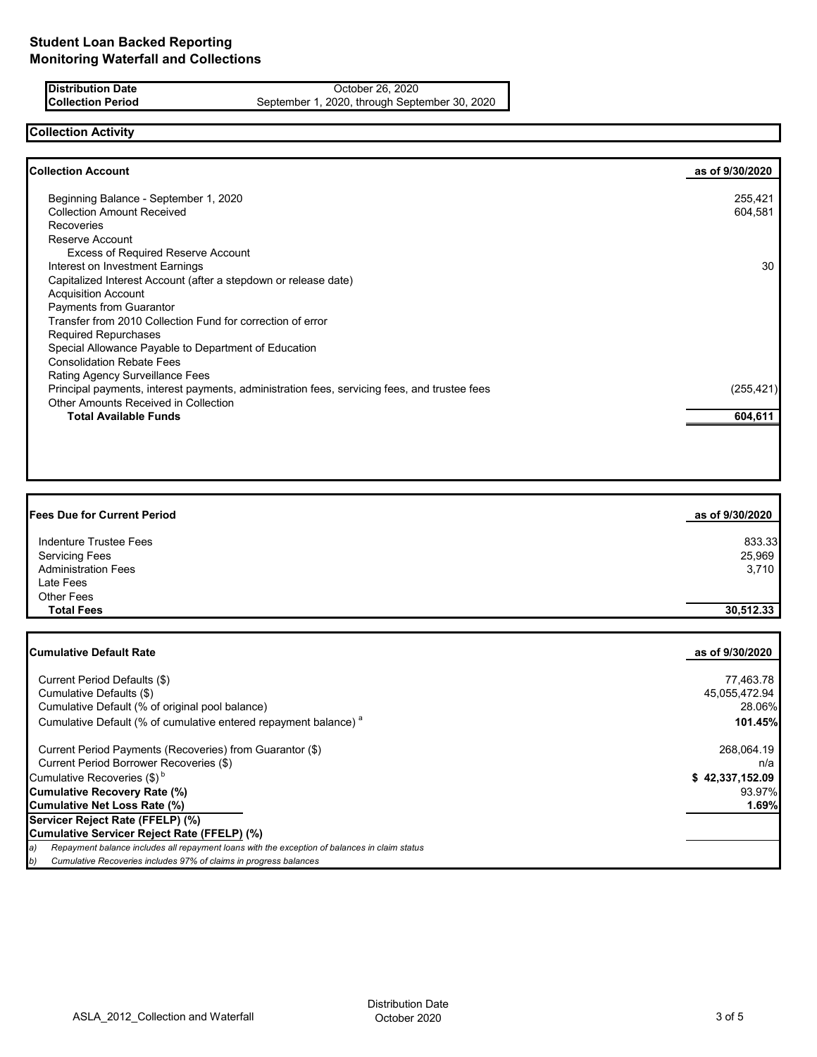**Distribution Date** October 26, 2020<br> **Collection Period** September 1, 2020, through Septe September 1, 2020, through September 30, 2020

# **Collection Activity**

| Beginning Balance - September 1, 2020                                                        | 255,421    |
|----------------------------------------------------------------------------------------------|------------|
| <b>Collection Amount Received</b>                                                            | 604,581    |
| <b>Recoveries</b>                                                                            |            |
| Reserve Account                                                                              |            |
| <b>Excess of Required Reserve Account</b>                                                    |            |
| Interest on Investment Earnings                                                              | 30         |
| Capitalized Interest Account (after a stepdown or release date)                              |            |
| <b>Acquisition Account</b>                                                                   |            |
| Payments from Guarantor                                                                      |            |
| Transfer from 2010 Collection Fund for correction of error                                   |            |
| <b>Required Repurchases</b>                                                                  |            |
| Special Allowance Payable to Department of Education                                         |            |
| <b>Consolidation Rebate Fees</b>                                                             |            |
| Rating Agency Surveillance Fees                                                              |            |
| Principal payments, interest payments, administration fees, servicing fees, and trustee fees | (255, 421) |
| <b>Other Amounts Received in Collection</b>                                                  |            |
| <b>Total Available Funds</b>                                                                 | 604,611    |

| <b>Fees Due for Current Period</b> | as of 9/30/2020 |
|------------------------------------|-----------------|
| Indenture Trustee Fees             | 833.33          |
| <b>Servicing Fees</b>              | 25,969          |
| <b>Administration Fees</b>         | 3,710           |
| Late Fees                          |                 |
| Other Fees                         |                 |
| <b>Total Fees</b>                  | 30,512.33       |

| <b>Cumulative Default Rate</b>                                                                      | as of 9/30/2020 |
|-----------------------------------------------------------------------------------------------------|-----------------|
|                                                                                                     |                 |
| Current Period Defaults (\$)                                                                        | 77,463.78       |
| Cumulative Defaults (\$)                                                                            | 45,055,472.94   |
| Cumulative Default (% of original pool balance)                                                     | 28.06%          |
| Cumulative Default (% of cumulative entered repayment balance) <sup>a</sup>                         | 101.45%         |
| Current Period Payments (Recoveries) from Guarantor (\$)                                            | 268,064.19      |
| Current Period Borrower Recoveries (\$)                                                             | n/a             |
| Cumulative Recoveries $(\$)^b$                                                                      | \$42,337,152.09 |
| Cumulative Recovery Rate (%)                                                                        | 93.97%          |
| Cumulative Net Loss Rate (%)                                                                        | 1.69%           |
| Servicer Reject Rate (FFELP) (%)                                                                    |                 |
| Cumulative Servicer Reject Rate (FFELP) (%)                                                         |                 |
| Repayment balance includes all repayment loans with the exception of balances in claim status<br>a) |                 |
| b)<br>Cumulative Recoveries includes 97% of claims in progress balances                             |                 |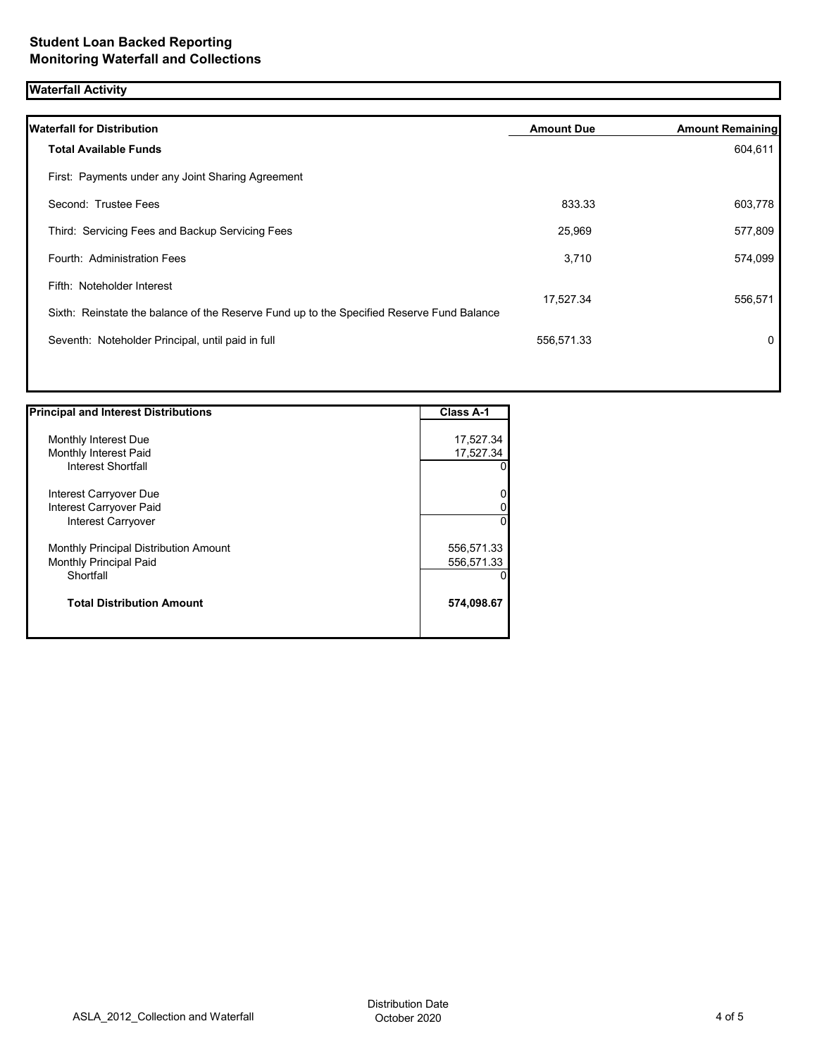## **Waterfall Activity**

| <b>Waterfall for Distribution</b>                                                         | <b>Amount Due</b> | <b>Amount Remaining</b> |
|-------------------------------------------------------------------------------------------|-------------------|-------------------------|
| <b>Total Available Funds</b>                                                              |                   | 604,611                 |
| First: Payments under any Joint Sharing Agreement                                         |                   |                         |
| Second: Trustee Fees                                                                      | 833.33            | 603,778                 |
| Third: Servicing Fees and Backup Servicing Fees                                           | 25,969            | 577,809                 |
| Fourth: Administration Fees                                                               | 3,710             | 574,099                 |
| Fifth: Noteholder Interest                                                                |                   |                         |
| Sixth: Reinstate the balance of the Reserve Fund up to the Specified Reserve Fund Balance | 17,527.34         | 556,571                 |
| Seventh: Noteholder Principal, until paid in full                                         | 556,571.33        | $\mathbf{0}$            |
|                                                                                           |                   |                         |

| <b>Principal and Interest Distributions</b> | Class A-1  |
|---------------------------------------------|------------|
|                                             |            |
| Monthly Interest Due                        | 17,527.34  |
| Monthly Interest Paid                       | 17,527.34  |
| Interest Shortfall                          | 0          |
| Interest Carryover Due                      | 0          |
|                                             |            |
| Interest Carryover Paid                     | 0          |
| Interest Carryover                          | $\Omega$   |
| Monthly Principal Distribution Amount       | 556,571.33 |
| Monthly Principal Paid                      | 556,571.33 |
| Shortfall                                   | 0          |
| <b>Total Distribution Amount</b>            | 574,098.67 |
|                                             |            |